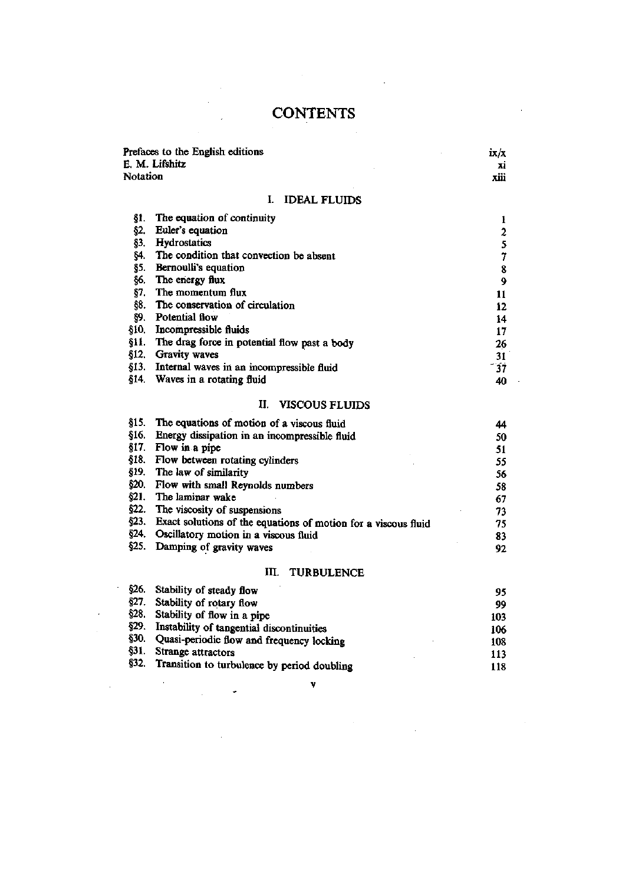## **CONTENTS**

 $\label{eq:2} \frac{1}{\sqrt{2}}\frac{1}{\sqrt{2}}\frac{d\phi}{d\phi}$ 

 $\label{eq:2.1} \frac{1}{\sqrt{2}}\sum_{i=1}^n\frac{1}{\sqrt{2}}\sum_{i=1}^n\frac{1}{\sqrt{2}}\sum_{i=1}^n\frac{1}{\sqrt{2}}\sum_{i=1}^n\frac{1}{\sqrt{2}}\sum_{i=1}^n\frac{1}{\sqrt{2}}\sum_{i=1}^n\frac{1}{\sqrt{2}}\sum_{i=1}^n\frac{1}{\sqrt{2}}\sum_{i=1}^n\frac{1}{\sqrt{2}}\sum_{i=1}^n\frac{1}{\sqrt{2}}\sum_{i=1}^n\frac{1}{\sqrt{2}}\sum_{i=1}^n\frac$ 

|          | Prefaces to the English editions                               | ix/x             |
|----------|----------------------------------------------------------------|------------------|
|          | E. M. Lifshitz                                                 | xi               |
| Notation |                                                                | xiii             |
|          | L<br><b>IDEAL FLUIDS</b>                                       |                  |
| §1.      | The equation of continuity                                     | 1                |
| §2.      | Euler's equation                                               | $\boldsymbol{2}$ |
| Ş3.      | Hydrostatics                                                   | 5                |
| §4.      | The condition that convection be absent                        | $\overline{7}$   |
| §5.      | Bernoulli's equation                                           | 8                |
| §6.      | The energy flux                                                | 9                |
| §7.      | The momentum flux                                              | 11               |
| §8.      | The conservation of circulation                                | 12               |
| §9.      | Potential flow                                                 | 14               |
| §10.     | Incompressible fluids                                          | 17               |
| §11.     | The drag force in potential flow past a body                   | 26               |
| §12.     | Gravity waves                                                  | 31               |
| §13.     | Internal waves in an incompressible fluid                      | 37               |
| §14.     | Waves in a rotating fluid                                      | 40               |
|          | Ц.<br><b>VISCOUS FLUIDS</b>                                    |                  |
| \$15.    | The equations of motion of a viscous fluid                     | 44               |
| §16.     | Energy dissipation in an incompressible fluid                  | 50               |
| §17.     | Flow in a pipe                                                 | 51               |
| §18.     | Flow between rotating cylinders                                | 55               |
| §19.     | The law of similarity                                          | 56               |
| §20.     | Flow with small Reynolds numbers                               | 58               |
| §21.     | The laminar wake                                               | 67               |
| §22.     | The viscosity of suspensions                                   | 73               |
| §23.     | Exact solutions of the equations of motion for a viscous fluid | 75               |
| §24.     | Oscillatory motion in a viscous fluid                          | 83               |
| §25.     | Damping of gravity waves                                       | 92               |
|          | Ш.<br><b>TURBULENCE</b>                                        |                  |
| §26.     | Stability of steady flow                                       | 95               |
| ደግማ      | 0.111110                                                       |                  |

|              |                                             | --  |
|--------------|---------------------------------------------|-----|
| §27.         | Stability of rotary flow                    | 99  |
| \$28.        | Stability of flow in a pipe                 | 103 |
| §29.         | Instability of tangential discontinuities   | 106 |
| <b>\$30.</b> | Quasi-periodic flow and frequency locking   | 108 |
| 831.         | Strange attractors                          | 113 |
| <b>\$32.</b> | Transition to turbulence by period doubling | 118 |
|              | v                                           |     |
|              |                                             |     |
|              |                                             |     |

 $\label{eq:2.1} \mathcal{L}(\mathcal{L}(\mathcal{L}))=\mathcal{L}(\mathcal{L}(\mathcal{L}))=\mathcal{L}(\mathcal{L}(\mathcal{L}))=\mathcal{L}(\mathcal{L}(\mathcal{L}))=\mathcal{L}(\mathcal{L}(\mathcal{L}))$ 

 $\bar{\mathcal{A}}$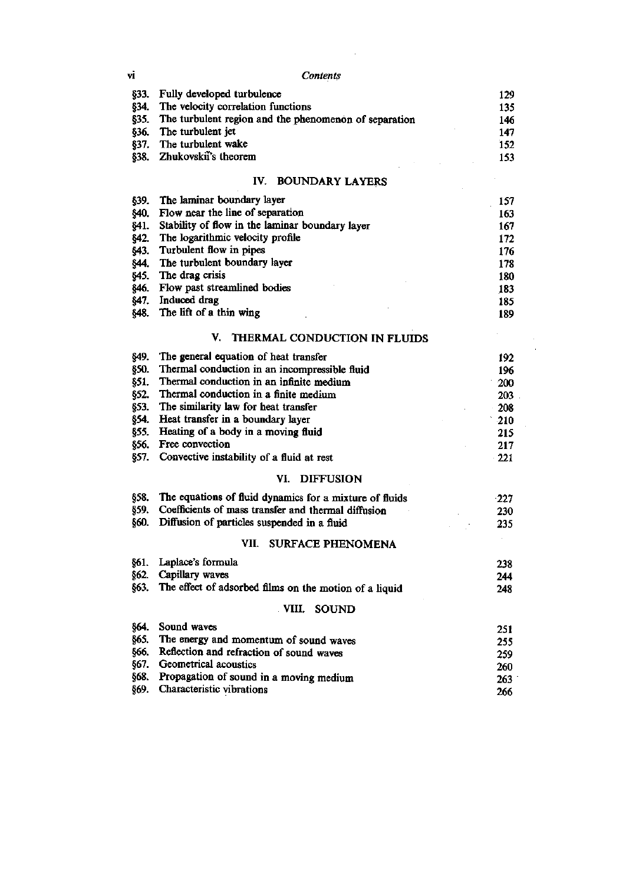| vi            | Contents                                                |        |
|---------------|---------------------------------------------------------|--------|
| \$33.         | Fully developed turbulence                              | 129    |
| §34.          | The velocity correlation functions                      | 135    |
| \$35.         | The turbulent region and the phenomenon of separation   | 146    |
| §36.          | The turbulent jet                                       | 147    |
| §37.          | The turbulent wake                                      | 152    |
| \$38.         | Zhukovskii's theorem                                    | 153    |
|               | IV. BOUNDARY LAYERS                                     |        |
| §39.          | The laminar boundary layer                              | 157    |
| §40.          | Flow near the line of separation                        | 163    |
| §41.          | Stability of flow in the laminar boundary layer         | 167    |
| \$42.         | The logarithmic velocity profile                        | 172    |
| \$43.         | Turbulent flow in pipes                                 | 176    |
| §44.          | The turbulent boundary layer                            | 178    |
| \$45.         | The drag crisis                                         | 180    |
| <b>\$46.</b>  | Flow past streamlined bodies                            |        |
|               | Induced drag                                            | 183    |
| §47.          | The lift of a thin wing                                 | 185    |
| \$48.         |                                                         | 189    |
|               | V.<br>THERMAL CONDUCTION IN FLUIDS                      |        |
| §49.          | The general equation of heat transfer                   | 192    |
| §50.          | Thermal conduction in an incompressible fluid           | 196    |
| §51.          | Thermal conduction in an infinite medium                | 200    |
| §52.          | Thermal conduction in a finite medium                   | 203    |
| \$53.         | The similarity law for heat transfer                    | 208    |
| §54.          | Heat transfer in a boundary layer                       | 210    |
| 855.          | Heating of a body in a moving fluid                     | 215    |
| §56.          | Free convection                                         | 217    |
| §57.          | Convective instability of a fluid at rest               | 221    |
|               | VI.<br><b>DIFFUSION</b>                                 |        |
| §58.          | The equations of fluid dynamics for a mixture of fluids |        |
|               | Coefficients of mass transfer and thermal diffusion     | $-227$ |
| §59.<br>\$60. | Diffusion of particles suspended in a fluid             | 230    |
|               |                                                         | 235    |
|               | VII. SURFACE PHENOMENA                                  |        |
| §61.          | Laplace's formula                                       | 238    |
| §62.          | Capillary waves                                         | 244    |
| §63.          | The effect of adsorbed films on the motion of a liquid  | 248    |
|               | VIII. SOUND                                             |        |
| \$64.         | Sound waves                                             | 251    |
| §65.          | The energy and momentum of sound waves                  | 255    |
| 866.          | Reflection and refraction of sound waves                | 259    |
| 667.          | Geometrical acoustics                                   | 260    |
| §68.          | Propagation of sound in a moving medium                 | 263    |
| §69.          | Characteristic vibrations                               | 266    |
|               |                                                         |        |

 $\mathcal{L}^{\text{max}}_{\text{max}}$  , where  $\mathcal{L}^{\text{max}}_{\text{max}}$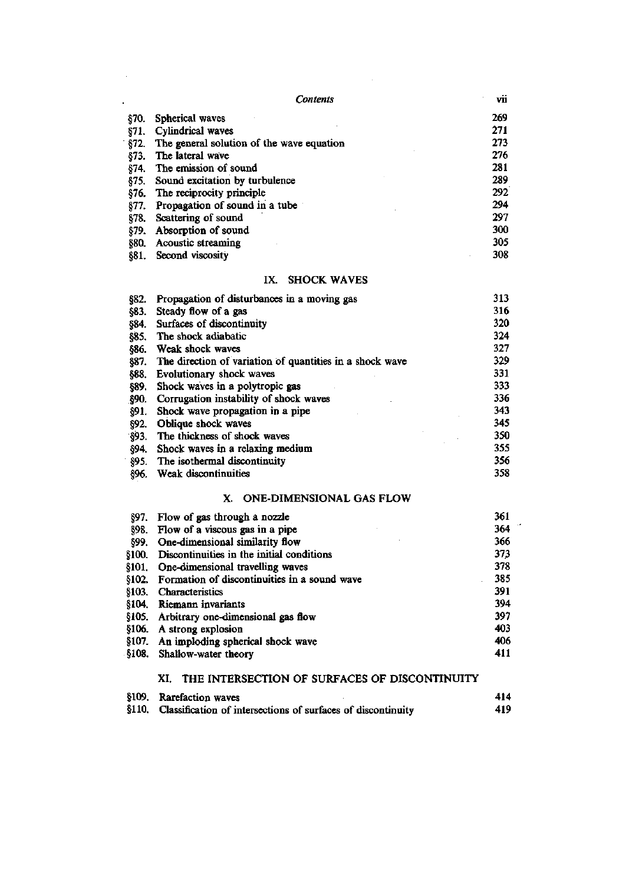| Contents    |                                             | vii |
|-------------|---------------------------------------------|-----|
| §70.        | Spherical waves                             | 269 |
| 871.        | Cylindrical waves                           | 271 |
| §72.        | The general solution of the wave equation   | 273 |
| §73.        | The lateral wave                            | 276 |
| \$74.       | The emission of sound                       | 281 |
| \$75.       | Sound excitation by turbulence              | 289 |
| <b>§76.</b> | The reciprocity principle                   | 292 |
| 877.        | Propagation of sound in a tube              | 294 |
| \$78.       | Scattering of sound                         | 297 |
| §79.        | Absorption of sound                         | 300 |
| <b>§80.</b> | Acoustic streaming                          | 305 |
| 881.        | Second viscosity                            | 308 |
|             | <b>SHOCK WAVES</b><br>IX.                   |     |
| \$82.       | Propagation of disturbances in a moving gas | 313 |
| 883         | Steady flow of a gas                        | 316 |

 $\sim 10^6$ 

 $\sim$ 

| 963.        | Steady now of a gas                                      | 910 |
|-------------|----------------------------------------------------------|-----|
| §84.        | Surfaces of discontinuity                                | 320 |
| 885.        | The shock adiabatic                                      | 324 |
| 886.        | Weak shock waves                                         | 327 |
| 887.        | The direction of variation of quantities in a shock wave | 329 |
| 888.        | Evolutionary shock waves                                 | 331 |
| §89.        | Shock waves in a polytropic gas                          | 333 |
| <b>§90.</b> | Corrugation instability of shock waves                   | 336 |
| \$91.       | Shock wave propagation in a pipe                         | 343 |
| \$92.       | Oblique shock waves                                      | 345 |
| \$93.       | The thickness of shock waves                             | 350 |
| §94.        | Shock waves in a relaxing medium                         | 355 |
| 895.        | The isothermal discontinuity                             | 356 |
| 896.        | Weak discontinuities                                     | 358 |
|             |                                                          |     |

## X. ONE-DIMENSIONAL GAS FLOW

| §97.         | Flow of gas through a nozzle                 | 361 |
|--------------|----------------------------------------------|-----|
| 898.         | Flow of a viscous gas in a pipe              | 364 |
| 899.         | One-dimensional similarity flow              | 366 |
| <b>§100.</b> | Discontinuities in the initial conditions    | 373 |
| <b>§101.</b> | One-dimensional travelling waves             | 378 |
| \$102.       | Formation of discontinuities in a sound wave | 385 |
| \$103.       | Characteristics                              | 391 |
| §104.        | Riemann invariants                           | 394 |
| §105.        | Arbitrary one-dimensional gas flow           | 397 |
| \$106.       | A strong explosion                           | 403 |
| §107.        | An imploding spherical shock wave            | 406 |
| -9108.       | Shallow-water theory                         | 411 |

## XI. THE INTERSECTION OF SURFACES OF DISCONTINUITY

| §109. Rarefaction waves                                            | 414 |
|--------------------------------------------------------------------|-----|
| §110. Classification of intersections of surfaces of discontinuity | 419 |